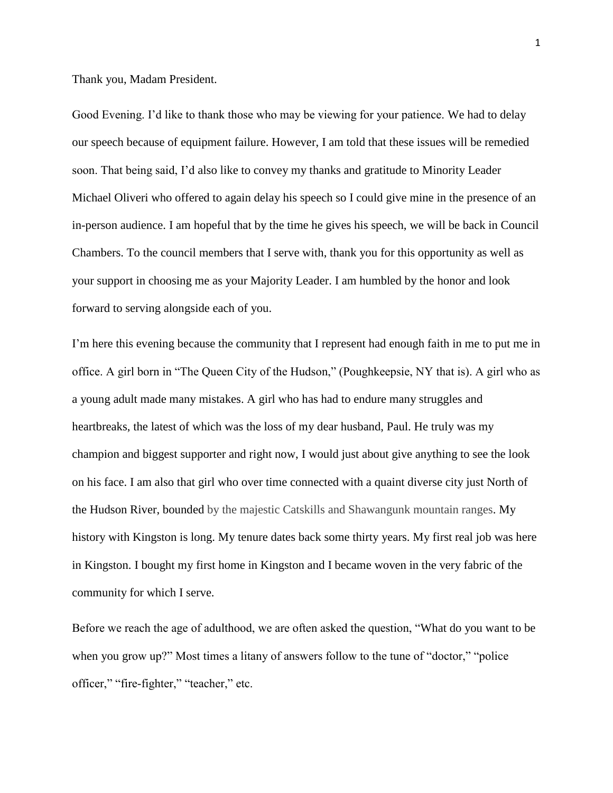Thank you, Madam President.

Good Evening. I'd like to thank those who may be viewing for your patience. We had to delay our speech because of equipment failure. However, I am told that these issues will be remedied soon. That being said, I'd also like to convey my thanks and gratitude to Minority Leader Michael Oliveri who offered to again delay his speech so I could give mine in the presence of an in-person audience. I am hopeful that by the time he gives his speech, we will be back in Council Chambers. To the council members that I serve with, thank you for this opportunity as well as your support in choosing me as your Majority Leader. I am humbled by the honor and look forward to serving alongside each of you.

I'm here this evening because the community that I represent had enough faith in me to put me in office. A girl born in "The Queen City of the Hudson," (Poughkeepsie, NY that is). A girl who as a young adult made many mistakes. A girl who has had to endure many struggles and heartbreaks, the latest of which was the loss of my dear husband, Paul. He truly was my champion and biggest supporter and right now, I would just about give anything to see the look on his face. I am also that girl who over time connected with a quaint diverse city just North of the Hudson River, bounded by the majestic Catskills and Shawangunk mountain ranges. My history with Kingston is long. My tenure dates back some thirty years. My first real job was here in Kingston. I bought my first home in Kingston and I became woven in the very fabric of the community for which I serve.

Before we reach the age of adulthood, we are often asked the question, "What do you want to be when you grow up?" Most times a litany of answers follow to the tune of "doctor," "police officer," "fire-fighter," "teacher," etc.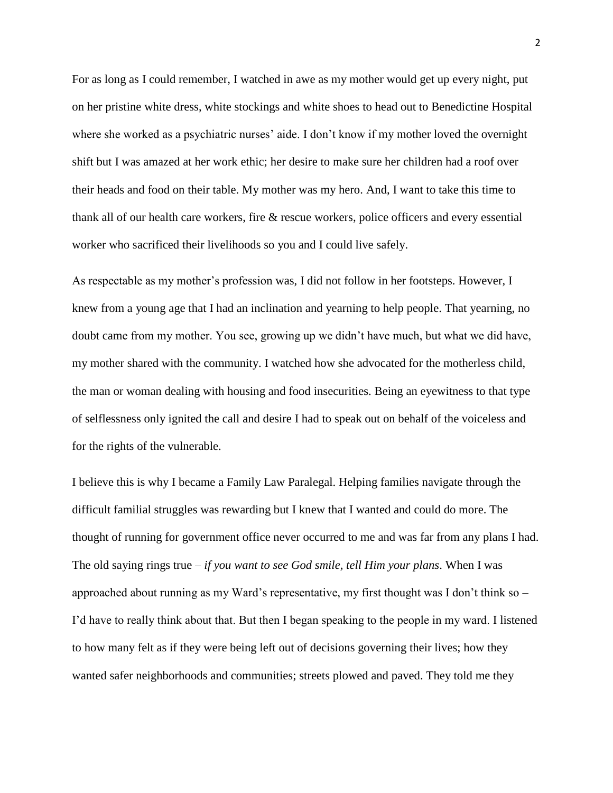For as long as I could remember, I watched in awe as my mother would get up every night, put on her pristine white dress, white stockings and white shoes to head out to Benedictine Hospital where she worked as a psychiatric nurses' aide. I don't know if my mother loved the overnight shift but I was amazed at her work ethic; her desire to make sure her children had a roof over their heads and food on their table. My mother was my hero. And, I want to take this time to thank all of our health care workers, fire & rescue workers, police officers and every essential worker who sacrificed their livelihoods so you and I could live safely.

As respectable as my mother's profession was, I did not follow in her footsteps. However, I knew from a young age that I had an inclination and yearning to help people. That yearning, no doubt came from my mother. You see, growing up we didn't have much, but what we did have, my mother shared with the community. I watched how she advocated for the motherless child, the man or woman dealing with housing and food insecurities. Being an eyewitness to that type of selflessness only ignited the call and desire I had to speak out on behalf of the voiceless and for the rights of the vulnerable.

I believe this is why I became a Family Law Paralegal. Helping families navigate through the difficult familial struggles was rewarding but I knew that I wanted and could do more. The thought of running for government office never occurred to me and was far from any plans I had. The old saying rings true – *if you want to see God smile, tell Him your plans*. When I was approached about running as my Ward's representative, my first thought was I don't think so – I'd have to really think about that. But then I began speaking to the people in my ward. I listened to how many felt as if they were being left out of decisions governing their lives; how they wanted safer neighborhoods and communities; streets plowed and paved. They told me they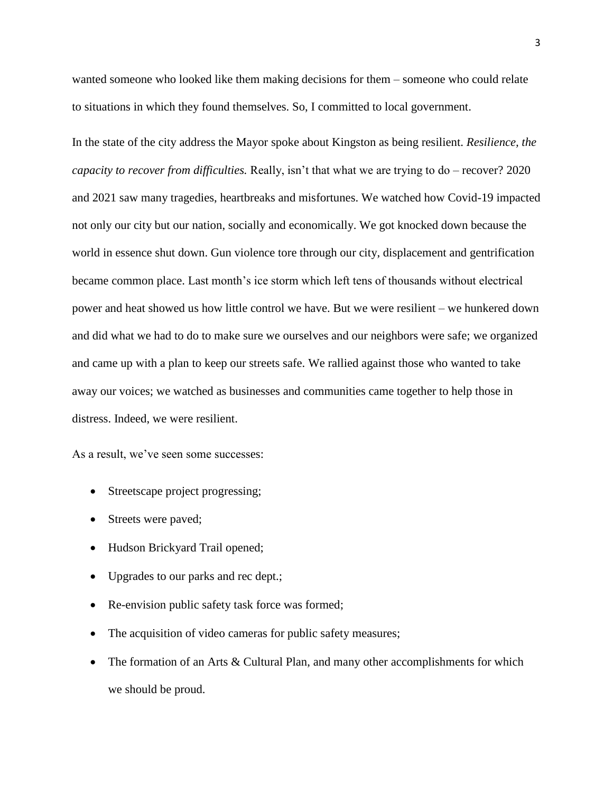wanted someone who looked like them making decisions for them – someone who could relate to situations in which they found themselves. So, I committed to local government.

In the state of the city address the Mayor spoke about Kingston as being resilient. *Resilience, the capacity to recover from difficulties.* Really, isn't that what we are trying to do – recover? 2020 and 2021 saw many tragedies, heartbreaks and misfortunes. We watched how Covid-19 impacted not only our city but our nation, socially and economically. We got knocked down because the world in essence shut down. Gun violence tore through our city, displacement and gentrification became common place. Last month's ice storm which left tens of thousands without electrical power and heat showed us how little control we have. But we were resilient – we hunkered down and did what we had to do to make sure we ourselves and our neighbors were safe; we organized and came up with a plan to keep our streets safe. We rallied against those who wanted to take away our voices; we watched as businesses and communities came together to help those in distress. Indeed, we were resilient.

As a result, we've seen some successes:

- Streetscape project progressing;
- Streets were paved;
- Hudson Brickyard Trail opened;
- Upgrades to our parks and rec dept.;
- Re-envision public safety task force was formed;
- The acquisition of video cameras for public safety measures;
- The formation of an Arts & Cultural Plan, and many other accomplishments for which we should be proud.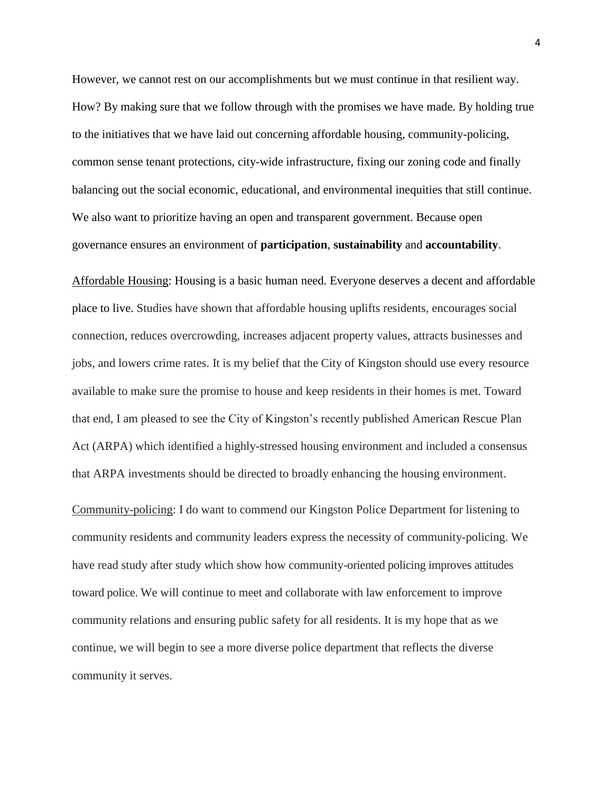However, we cannot rest on our accomplishments but we must continue in that resilient way. How? By making sure that we follow through with the promises we have made. By holding true to the initiatives that we have laid out concerning affordable housing, community-policing, common sense tenant protections, city-wide infrastructure, fixing our zoning code and finally balancing out the social economic, educational, and environmental inequities that still continue. We also want to prioritize having an open and transparent government. Because open governance ensures an environment of **participation**, **sustainability** and **accountability**.

Affordable Housing: Housing is a basic human need. Everyone deserves a decent and affordable place to live. Studies have shown that affordable housing uplifts residents, encourages social connection, reduces overcrowding, increases adjacent property values, attracts businesses and jobs, and lowers crime rates. It is my belief that the City of Kingston should use every resource available to make sure the promise to house and keep residents in their homes is met. Toward that end, I am pleased to see the City of Kingston's recently published American Rescue Plan Act (ARPA) which identified a highly-stressed housing environment and included a consensus that ARPA investments should be directed to broadly enhancing the housing environment.

Community-policing: I do want to commend our Kingston Police Department for listening to community residents and community leaders express the necessity of community-policing. We have read study after study which show how community-oriented policing improves attitudes toward police. We will continue to meet and collaborate with law enforcement to improve community relations and ensuring public safety for all residents. It is my hope that as we continue, we will begin to see a more diverse police department that reflects the diverse community it serves.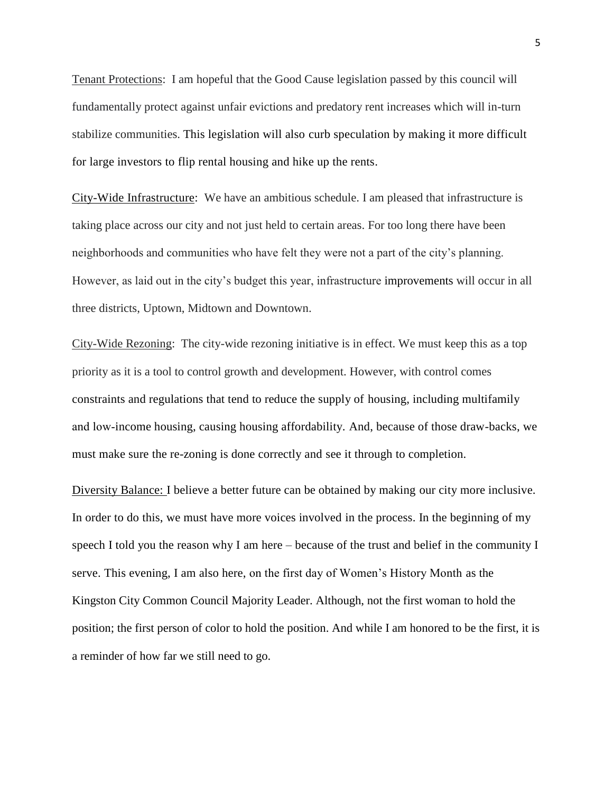Tenant Protections: I am hopeful that the Good Cause legislation passed by this council will fundamentally protect against unfair evictions and predatory rent increases which will in-turn stabilize communities. This legislation will also curb speculation by making it more difficult for large investors to flip rental housing and hike up the rents.

City-Wide Infrastructure: We have an ambitious schedule. I am pleased that infrastructure is taking place across our city and not just held to certain areas. For too long there have been neighborhoods and communities who have felt they were not a part of the city's planning. However, as laid out in the city's budget this year, infrastructure improvements will occur in all three districts, Uptown, Midtown and Downtown.

City-Wide Rezoning: The city-wide rezoning initiative is in effect. We must keep this as a top priority as it is a tool to control growth and development. However, with control comes constraints and regulations that tend to reduce the supply of housing, including multifamily and low‐income housing, causing housing affordability. And, because of those draw-backs, we must make sure the re-zoning is done correctly and see it through to completion.

Diversity Balance: I believe a better future can be obtained by making our city more inclusive. In order to do this, we must have more voices involved in the process. In the beginning of my speech I told you the reason why I am here – because of the trust and belief in the community I serve. This evening, I am also here, on the first day of Women's History Month as the Kingston City Common Council Majority Leader. Although, not the first woman to hold the position; the first person of color to hold the position. And while I am honored to be the first, it is a reminder of how far we still need to go.